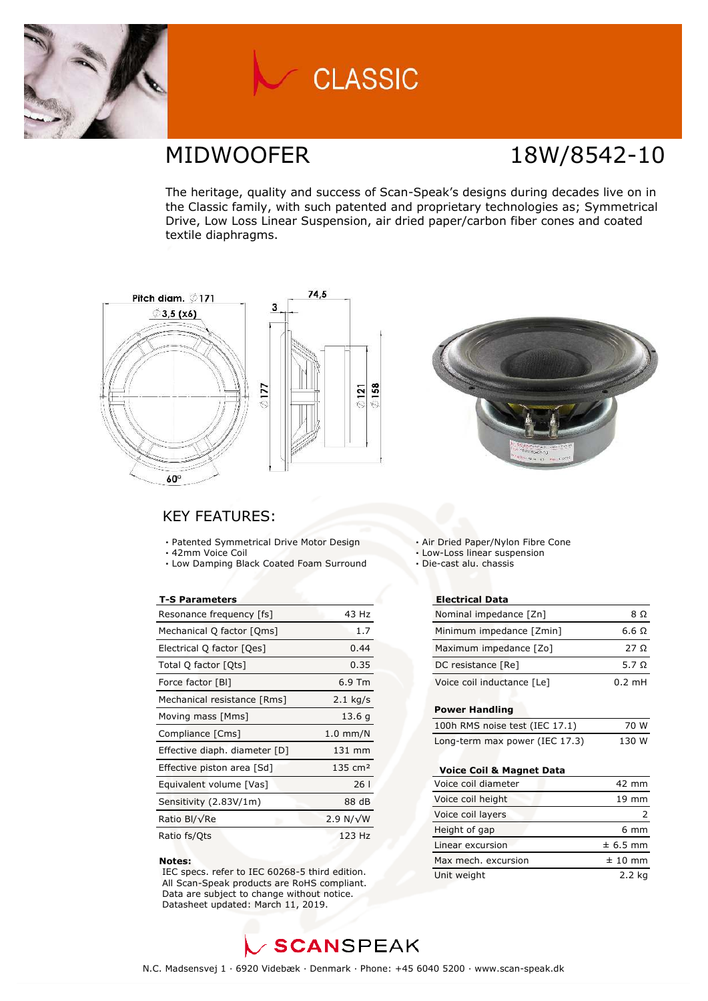

# **CLASSIC**

### MIDWOOFER 18W/8542-10

The heritage, quality and success of Scan-Speak's designs during decades live on in the Classic family, with such patented and proprietary technologies as; Symmetrical Drive, Low Loss Linear Suspension, air dried paper/carbon fiber cones and coated textile diaphragms.





### KEY FEATURES:

- **·** Patented Symmetrical Drive Motor Design
- **·** 42mm Voice Coil
- **·** Low Damping Black Coated Foam Surround

#### **T-S Parameters**

| Resonance frequency [fs]      | 43 Hz              |
|-------------------------------|--------------------|
| Mechanical Q factor [Qms]     | 1.7                |
| Electrical Q factor [Qes]     | 0.44               |
| Total Q factor [Qts]          | 0.35               |
| Force factor [BI]             | $6.9$ Tm           |
| Mechanical resistance [Rms]   | $2.1$ kg/s         |
| Moving mass [Mms]             | 13.6q              |
| Compliance [Cms]              | $1.0$ mm/N         |
| Effective diaph. diameter [D] | 131 mm             |
| Effective piston area [Sd]    | $135 \text{ cm}^2$ |
| Equivalent volume [Vas]       | 26 I               |
| Sensitivity (2.83V/1m)        | 88 dB              |
| Ratio Bl/√Re                  | 2.9 N/ $\sqrt{W}$  |
| Ratio fs/Qts                  | 123 Hz             |

#### **Notes:**

 IEC specs. refer to IEC 60268-5 third edition. All Scan-Speak products are RoHS compliant. Data are subject to change without notice. Datasheet updated: March 11, 2019.

**·** Air Dried Paper/Nylon Fibre Cone

- **·** Low-Loss linear suspension
- **·** Die-cast alu. chassis

#### **Electrical Data**

| Nominal impedance [Zn]     | 8Ω               |
|----------------------------|------------------|
| Minimum impedance [Zmin]   | 6.6 $\Omega$     |
| Maximum impedance [Zo]     | 27 Q             |
| DC resistance [Re]         | 5.7 Q            |
| Voice coil inductance [Le] | $0.2 \text{ mH}$ |
|                            |                  |

#### **Power Handling**

| 100h RMS noise test (IEC 17.1) | 70 W  |
|--------------------------------|-------|
| Long-term max power (IEC 17.3) | 130 W |

#### **Voice Coil & Magnet Data**

| Voice coil diameter | 42 mm           |
|---------------------|-----------------|
| Voice coil height   | $19 \text{ mm}$ |
| Voice coil layers   |                 |
| Height of gap       | $6 \text{ mm}$  |
| Linear excursion    | $± 6.5$ mm      |
| Max mech, excursion | $± 10$ mm       |
| Unit weight         | 2.2 kg          |